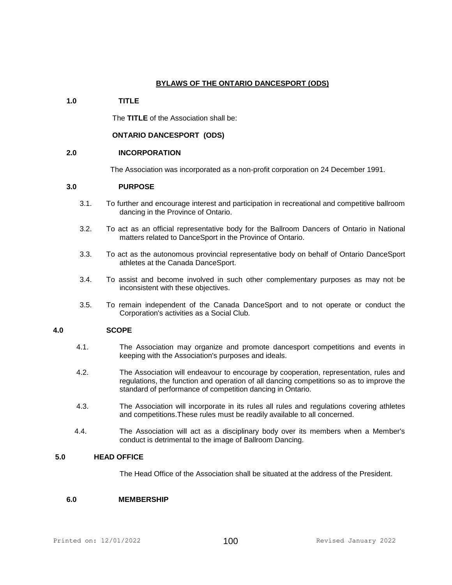# **BYLAWS OF THE ONTARIO DANCESPORT (ODS)**

# **1.0 TITLE**

The **TITLE** of the Association shall be:

# **ONTARIO DANCESPORT (ODS)**

### **2.0 INCORPORATION**

The Association was incorporated as a non-profit corporation on 24 December 1991.

# **3.0 PURPOSE**

- 3.1. To further and encourage interest and participation in recreational and competitive ballroom dancing in the Province of Ontario.
- 3.2. To act as an official representative body for the Ballroom Dancers of Ontario in National matters related to DanceSport in the Province of Ontario.
- 3.3. To act as the autonomous provincial representative body on behalf of Ontario DanceSport athletes at the Canada DanceSport.
- 3.4. To assist and become involved in such other complementary purposes as may not be inconsistent with these objectives.
- 3.5. To remain independent of the Canada DanceSport and to not operate or conduct the Corporation's activities as a Social Club.

### **4.0 SCOPE**

- 4.1. The Association may organize and promote dancesport competitions and events in keeping with the Association's purposes and ideals.
- 4.2. The Association will endeavour to encourage by cooperation, representation, rules and regulations, the function and operation of all dancing competitions so as to improve the standard of performance of competition dancing in Ontario.
- 4.3. The Association will incorporate in its rules all rules and regulations covering athletes and competitions.These rules must be readily available to all concerned.
- 4.4. The Association will act as a disciplinary body over its members when a Member's conduct is detrimental to the image of Ballroom Dancing.

# **5.0 HEAD OFFICE**

The Head Office of the Association shall be situated at the address of the President.

# **6.0 MEMBERSHIP**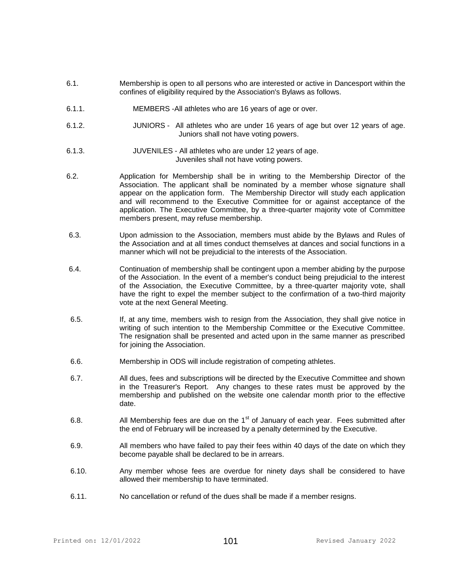- 6.1. Membership is open to all persons who are interested or active in Dancesport within the confines of eligibility required by the Association's Bylaws as follows.
- 6.1.1. MEMBERS -All athletes who are 16 years of age or over.
- 6.1.2. JUNIORS All athletes who are under 16 years of age but over 12 years of age. Juniors shall not have voting powers.
- 6.1.3. JUVENILES All athletes who are under 12 years of age. Juveniles shall not have voting powers.
- 6.2. Application for Membership shall be in writing to the Membership Director of the Association. The applicant shall be nominated by a member whose signature shall appear on the application form. The Membership Director will study each application and will recommend to the Executive Committee for or against acceptance of the application. The Executive Committee, by a three-quarter majority vote of Committee members present, may refuse membership.
- 6.3. Upon admission to the Association, members must abide by the Bylaws and Rules of the Association and at all times conduct themselves at dances and social functions in a manner which will not be prejudicial to the interests of the Association.
- 6.4. Continuation of membership shall be contingent upon a member abiding by the purpose of the Association. In the event of a member's conduct being prejudicial to the interest of the Association, the Executive Committee, by a three-quarter majority vote, shall have the right to expel the member subject to the confirmation of a two-third majority vote at the next General Meeting.
- 6.5. If, at any time, members wish to resign from the Association, they shall give notice in writing of such intention to the Membership Committee or the Executive Committee. The resignation shall be presented and acted upon in the same manner as prescribed for joining the Association.
- 6.6. Membership in ODS will include registration of competing athletes.
- 6.7. All dues, fees and subscriptions will be directed by the Executive Committee and shown in the Treasurer's Report. Any changes to these rates must be approved by the membership and published on the website one calendar month prior to the effective date.
- 6.8. All Membership fees are due on the  $1<sup>st</sup>$  of January of each year. Fees submitted after the end of February will be increased by a penalty determined by the Executive.
- 6.9. All members who have failed to pay their fees within 40 days of the date on which they become payable shall be declared to be in arrears.
- 6.10. Any member whose fees are overdue for ninety days shall be considered to have allowed their membership to have terminated.
- 6.11. No cancellation or refund of the dues shall be made if a member resigns.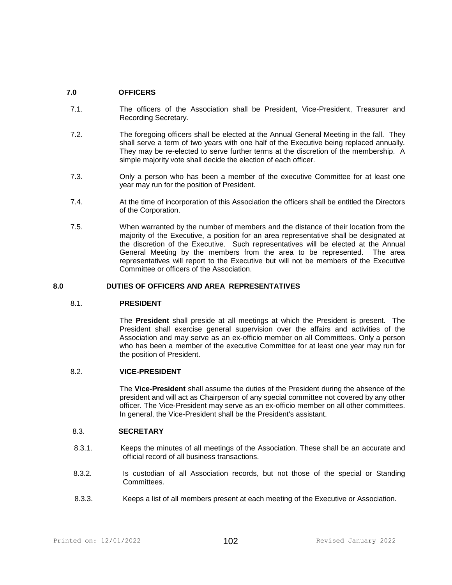# **7.0 OFFICERS**

- 7.1. The officers of the Association shall be President, Vice-President, Treasurer and Recording Secretary.
- 7.2. The foregoing officers shall be elected at the Annual General Meeting in the fall. They shall serve a term of two years with one half of the Executive being replaced annually. They may be re-elected to serve further terms at the discretion of the membership. A simple majority vote shall decide the election of each officer.
- 7.3. Only a person who has been a member of the executive Committee for at least one year may run for the position of President.
- 7.4. At the time of incorporation of this Association the officers shall be entitled the Directors of the Corporation.
- 7.5. When warranted by the number of members and the distance of their location from the majority of the Executive, a position for an area representative shall be designated at the discretion of the Executive. Such representatives will be elected at the Annual General Meeting by the members from the area to be represented. The area representatives will report to the Executive but will not be members of the Executive Committee or officers of the Association.

#### **8.0 DUTIES OF OFFICERS AND AREA REPRESENTATIVES**

### 8.1. **PRESIDENT**

The **President** shall preside at all meetings at which the President is present. The President shall exercise general supervision over the affairs and activities of the Association and may serve as an ex-officio member on all Committees. Only a person who has been a member of the executive Committee for at least one year may run for the position of President.

### 8.2. **VICE-PRESIDENT**

 The **Vice-President** shall assume the duties of the President during the absence of the president and will act as Chairperson of any special committee not covered by any other officer. The Vice-President may serve as an ex-officio member on all other committees. In general, the Vice-President shall be the President's assistant.

### 8.3. **SECRETARY**

- 8.3.1. Keeps the minutes of all meetings of the Association. These shall be an accurate and official record of all business transactions.
- 8.3.2. Is custodian of all Association records, but not those of the special or Standing Committees.
- 8.3.3. Keeps a list of all members present at each meeting of the Executive or Association.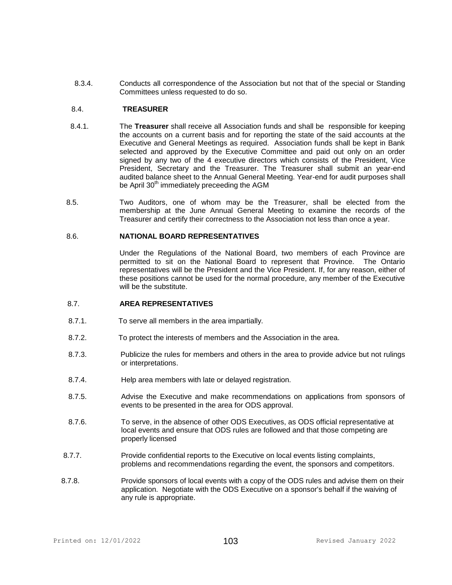8.3.4. Conducts all correspondence of the Association but not that of the special or Standing Committees unless requested to do so.

# 8.4. **TREASURER**

- 8.4.1. The **Treasurer** shall receive all Association funds and shall be responsible for keeping the accounts on a current basis and for reporting the state of the said accounts at the Executive and General Meetings as required. Association funds shall be kept in Bank selected and approved by the Executive Committee and paid out only on an order signed by any two of the 4 executive directors which consists of the President, Vice President, Secretary and the Treasurer. The Treasurer shall submit an year-end audited balance sheet to the Annual General Meeting. Year-end for audit purposes shall be April 30<sup>th</sup> immediately preceeding the AGM
- 8.5. Two Auditors, one of whom may be the Treasurer, shall be elected from the membership at the June Annual General Meeting to examine the records of the Treasurer and certify their correctness to the Association not less than once a year.

#### 8.6. **NATIONAL BOARD REPRESENTATIVES**

 Under the Regulations of the National Board, two members of each Province are permitted to sit on the National Board to represent that Province. The Ontario representatives will be the President and the Vice President. If, for any reason, either of these positions cannot be used for the normal procedure, any member of the Executive will be the substitute.

#### 8.7. **AREA REPRESENTATIVES**

- 8.7.1. To serve all members in the area impartially.
- 8.7.2. To protect the interests of members and the Association in the area.
- 8.7.3. Publicize the rules for members and others in the area to provide advice but not rulings or interpretations.
- 8.7.4. Help area members with late or delayed registration.
- 8.7.5. Advise the Executive and make recommendations on applications from sponsors of events to be presented in the area for ODS approval.
- 8.7.6. To serve, in the absence of other ODS Executives, as ODS official representative at local events and ensure that ODS rules are followed and that those competing are properly licensed
- 8.7.7. Provide confidential reports to the Executive on local events listing complaints, problems and recommendations regarding the event, the sponsors and competitors.
- 8.7.8. Provide sponsors of local events with a copy of the ODS rules and advise them on their application. Negotiate with the ODS Executive on a sponsor's behalf if the waiving of any rule is appropriate.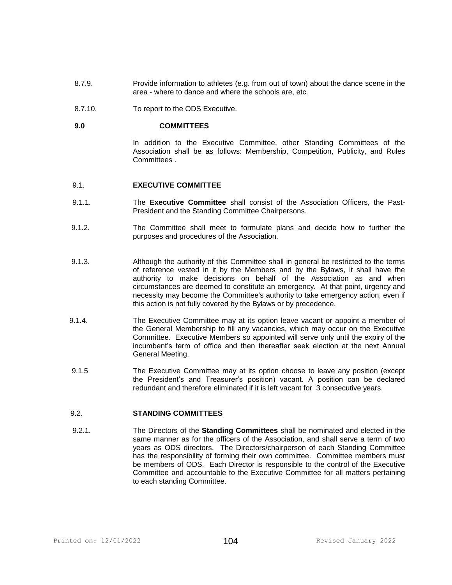- 8.7.9. Provide information to athletes (e.g. from out of town) about the dance scene in the area - where to dance and where the schools are, etc.
- 8.7.10. To report to the ODS Executive.

#### **9.0 COMMITTEES**

In addition to the Executive Committee, other Standing Committees of the Association shall be as follows: Membership, Competition, Publicity, and Rules Committees .

#### 9.1. **EXECUTIVE COMMITTEE**

- 9.1.1. The **Executive Committee** shall consist of the Association Officers, the Past-President and the Standing Committee Chairpersons.
- 9.1.2. The Committee shall meet to formulate plans and decide how to further the purposes and procedures of the Association.
- 9.1.3. Although the authority of this Committee shall in general be restricted to the terms of reference vested in it by the Members and by the Bylaws, it shall have the authority to make decisions on behalf of the Association as and when circumstances are deemed to constitute an emergency. At that point, urgency and necessity may become the Committee's authority to take emergency action, even if this action is not fully covered by the Bylaws or by precedence.
- 9.1.4. The Executive Committee may at its option leave vacant or appoint a member of the General Membership to fill any vacancies, which may occur on the Executive Committee. Executive Members so appointed will serve only until the expiry of the incumbent's term of office and then thereafter seek election at the next Annual General Meeting.
- 9.1.5 The Executive Committee may at its option choose to leave any position (except the President's and Treasurer's position) vacant. A position can be declared redundant and therefore eliminated if it is left vacant for 3 consecutive years.

### 9.2. **STANDING COMMITTEES**

 9.2.1. The Directors of the **Standing Committees** shall be nominated and elected in the same manner as for the officers of the Association, and shall serve a term of two years as ODS directors. The Directors/chairperson of each Standing Committee has the responsibility of forming their own committee. Committee members must be members of ODS. Each Director is responsible to the control of the Executive Committee and accountable to the Executive Committee for all matters pertaining to each standing Committee.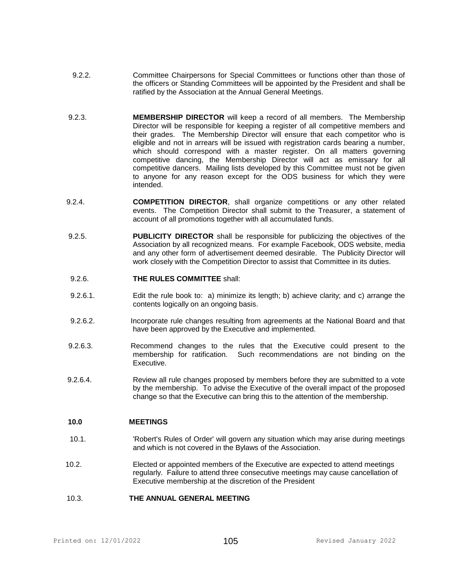- 9.2.2. Committee Chairpersons for Special Committees or functions other than those of the officers or Standing Committees will be appointed by the President and shall be ratified by the Association at the Annual General Meetings.
- 9.2.3. **MEMBERSHIP DIRECTOR** will keep a record of all members. The Membership Director will be responsible for keeping a register of all competitive members and their grades. The Membership Director will ensure that each competitor who is eligible and not in arrears will be issued with registration cards bearing a number, which should correspond with a master register. On all matters governing competitive dancing, the Membership Director will act as emissary for all competitive dancers. Mailing lists developed by this Committee must not be given to anyone for any reason except for the ODS business for which they were intended.
- 9.2.4. **COMPETITION DIRECTOR**, shall organize competitions or any other related events. The Competition Director shall submit to the Treasurer, a statement of account of all promotions together with all accumulated funds.
- 9.2.5. **PUBLICITY DIRECTOR** shall be responsible for publicizing the objectives of the Association by all recognized means. For example Facebook, ODS website, media and any other form of advertisement deemed desirable. The Publicity Director will work closely with the Competition Director to assist that Committee in its duties.

# 9.2.6. **THE RULES COMMITTEE** shall:

- 9.2.6.1. Edit the rule book to: a) minimize its length; b) achieve clarity; and c) arrange the contents logically on an ongoing basis.
- 9.2.6.2. Incorporate rule changes resulting from agreements at the National Board and that have been approved by the Executive and implemented.
- 9.2.6.3. Recommend changes to the rules that the Executive could present to the membership for ratification. Such recommendations are not binding on the Executive.
- 9.2.6.4. Review all rule changes proposed by members before they are submitted to a vote by the membership. To advise the Executive of the overall impact of the proposed change so that the Executive can bring this to the attention of the membership.

# **10.0 MEETINGS**

- 10.1. 'Robert's Rules of Order' will govern any situation which may arise during meetings and which is not covered in the Bylaws of the Association.
- 10.2. Elected or appointed members of the Executive are expected to attend meetings regularly. Failure to attend three consecutive meetings may cause cancellation of Executive membership at the discretion of the President

#### 10.3. **THE ANNUAL GENERAL MEETING**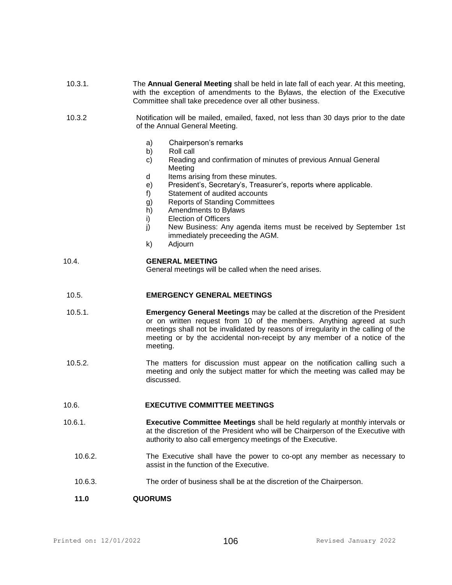| 10.3.1. | The Annual General Meeting shall be held in late fall of each year. At this meeting,<br>with the exception of amendments to the Bylaws, the election of the Executive<br>Committee shall take precedence over all other business.                                                                                                          |
|---------|--------------------------------------------------------------------------------------------------------------------------------------------------------------------------------------------------------------------------------------------------------------------------------------------------------------------------------------------|
| 10.3.2  | Notification will be mailed, emailed, faxed, not less than 30 days prior to the date<br>of the Annual General Meeting.                                                                                                                                                                                                                     |
|         | Chairperson's remarks<br>a)                                                                                                                                                                                                                                                                                                                |
|         | b)<br>Roll call<br>Reading and confirmation of minutes of previous Annual General<br>$\mathsf{c}$<br>Meeting                                                                                                                                                                                                                               |
|         | Items arising from these minutes.<br>d<br>President's, Secretary's, Treasurer's, reports where applicable.<br>e)                                                                                                                                                                                                                           |
|         | f)<br>Statement of audited accounts                                                                                                                                                                                                                                                                                                        |
|         | <b>Reports of Standing Committees</b><br>g)<br>h)<br>Amendments to Bylaws                                                                                                                                                                                                                                                                  |
|         | <b>Election of Officers</b><br>i)<br>New Business: Any agenda items must be received by September 1st<br>j)                                                                                                                                                                                                                                |
|         | immediately preceeding the AGM.<br>Adjourn<br>k)                                                                                                                                                                                                                                                                                           |
| 10.4.   | <b>GENERAL MEETING</b><br>General meetings will be called when the need arises.                                                                                                                                                                                                                                                            |
| 10.5.   | <b>EMERGENCY GENERAL MEETINGS</b>                                                                                                                                                                                                                                                                                                          |
| 10.5.1. | <b>Emergency General Meetings</b> may be called at the discretion of the President<br>or on written request from 10 of the members. Anything agreed at such<br>meetings shall not be invalidated by reasons of irregularity in the calling of the<br>meeting or by the accidental non-receipt by any member of a notice of the<br>meeting. |
| 10.5.2. | The matters for discussion must appear on the notification calling such a<br>meeting and only the subject matter for which the meeting was called may be<br>discussed.                                                                                                                                                                     |
| 10.6.   | <b>EXECUTIVE COMMITTEE MEETINGS</b>                                                                                                                                                                                                                                                                                                        |
| 10.6.1. | <b>Executive Committee Meetings</b> shall be held regularly at monthly intervals or<br>at the discretion of the President who will be Chairperson of the Executive with<br>authority to also call emergency meetings of the Executive.                                                                                                     |
| 10.6.2. | The Executive shall have the power to co-opt any member as necessary to<br>assist in the function of the Executive.                                                                                                                                                                                                                        |
| 10.6.3. | The order of business shall be at the discretion of the Chairperson.                                                                                                                                                                                                                                                                       |
| 11.0    | <b>QUORUMS</b>                                                                                                                                                                                                                                                                                                                             |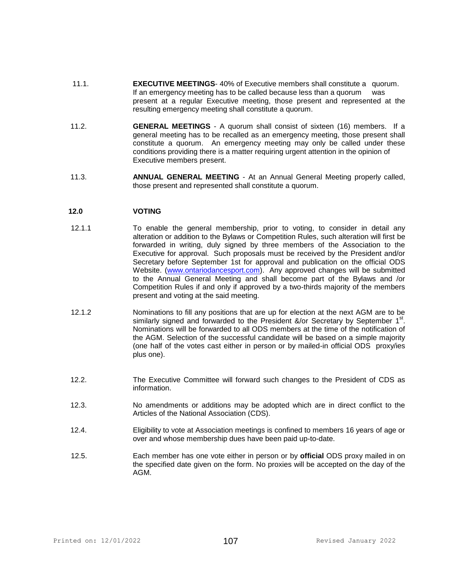- 11.1. **EXECUTIVE MEETINGS** 40% of Executive members shall constitute a quorum. If an emergency meeting has to be called because less than a quorum was present at a regular Executive meeting, those present and represented at the resulting emergency meeting shall constitute a quorum.
- 11.2. **GENERAL MEETINGS** A quorum shall consist of sixteen (16) members. If a general meeting has to be recalled as an emergency meeting, those present shall constitute a quorum. An emergency meeting may only be called under these conditions providing there is a matter requiring urgent attention in the opinion of Executive members present.
- 11.3. **ANNUAL GENERAL MEETING** At an Annual General Meeting properly called, those present and represented shall constitute a quorum.

# **12.0 VOTING**

- 12.1.1 To enable the general membership, prior to voting, to consider in detail any alteration or addition to the Bylaws or Competition Rules, such alteration will first be forwarded in writing, duly signed by three members of the Association to the Executive for approval. Such proposals must be received by the President and/or Secretary before September 1st for approval and publication on the official ODS Website. [\(www.ontariodancesport.com\)](http://www.ontariodancesport.com/). Any approved changes will be submitted to the Annual General Meeting and shall become part of the Bylaws and /or Competition Rules if and only if approved by a two-thirds majority of the members present and voting at the said meeting.
- 12.1.2 Nominations to fill any positions that are up for election at the next AGM are to be similarly signed and forwarded to the President &/or Secretary by September  $1<sup>st</sup>$ . Nominations will be forwarded to all ODS members at the time of the notification of the AGM. Selection of the successful candidate will be based on a simple majority (one half of the votes cast either in person or by mailed-in official ODS proxy/ies plus one).
- 12.2. The Executive Committee will forward such changes to the President of CDS as information.
- 12.3. No amendments or additions may be adopted which are in direct conflict to the Articles of the National Association (CDS).
- 12.4. Eligibility to vote at Association meetings is confined to members 16 years of age or over and whose membership dues have been paid up-to-date.
- 12.5. Each member has one vote either in person or by **official** ODS proxy mailed in on the specified date given on the form. No proxies will be accepted on the day of the AGM.